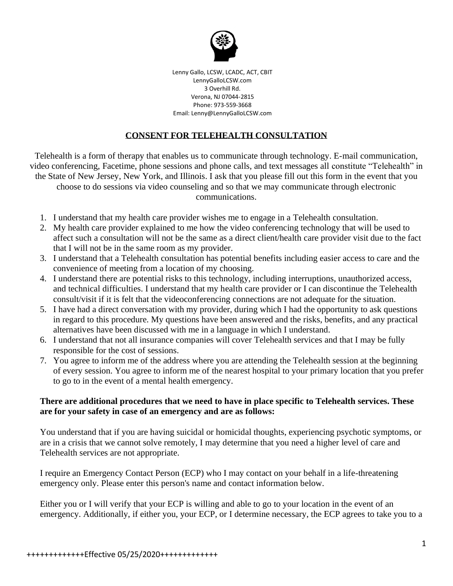

Lenny Gallo, LCSW, LCADC, ACT, CBIT LennyGalloLCSW.com 3 Overhill Rd. Verona, NJ 07044-2815 Phone: 973-559-3668 Email: Lenny@LennyGalloLCSW.com

## **CONSENT FOR TELEHEALTH CONSULTATION**

Telehealth is a form of therapy that enables us to communicate through technology. E-mail communication, video conferencing, Facetime, phone sessions and phone calls, and text messages all constitute "Telehealth" in the State of New Jersey, New York, and Illinois. I ask that you please fill out this form in the event that you choose to do sessions via video counseling and so that we may communicate through electronic communications.

- 1. I understand that my health care provider wishes me to engage in a Telehealth consultation.
- 2. My health care provider explained to me how the video conferencing technology that will be used to affect such a consultation will not be the same as a direct client/health care provider visit due to the fact that I will not be in the same room as my provider.
- 3. I understand that a Telehealth consultation has potential benefits including easier access to care and the convenience of meeting from a location of my choosing.
- 4. I understand there are potential risks to this technology, including interruptions, unauthorized access, and technical difficulties. I understand that my health care provider or I can discontinue the Telehealth consult/visit if it is felt that the videoconferencing connections are not adequate for the situation.
- 5. I have had a direct conversation with my provider, during which I had the opportunity to ask questions in regard to this procedure. My questions have been answered and the risks, benefits, and any practical alternatives have been discussed with me in a language in which I understand.
- 6. I understand that not all insurance companies will cover Telehealth services and that I may be fully responsible for the cost of sessions.
- 7. You agree to inform me of the address where you are attending the Telehealth session at the beginning of every session. You agree to inform me of the nearest hospital to your primary location that you prefer to go to in the event of a mental health emergency.

## **There are additional procedures that we need to have in place specific to Telehealth services. These are for your safety in case of an emergency and are as follows:**

You understand that if you are having suicidal or homicidal thoughts, experiencing psychotic symptoms, or are in a crisis that we cannot solve remotely, I may determine that you need a higher level of care and Telehealth services are not appropriate.

I require an Emergency Contact Person (ECP) who I may contact on your behalf in a life-threatening emergency only. Please enter this person's name and contact information below.

Either you or I will verify that your ECP is willing and able to go to your location in the event of an emergency. Additionally, if either you, your ECP, or I determine necessary, the ECP agrees to take you to a